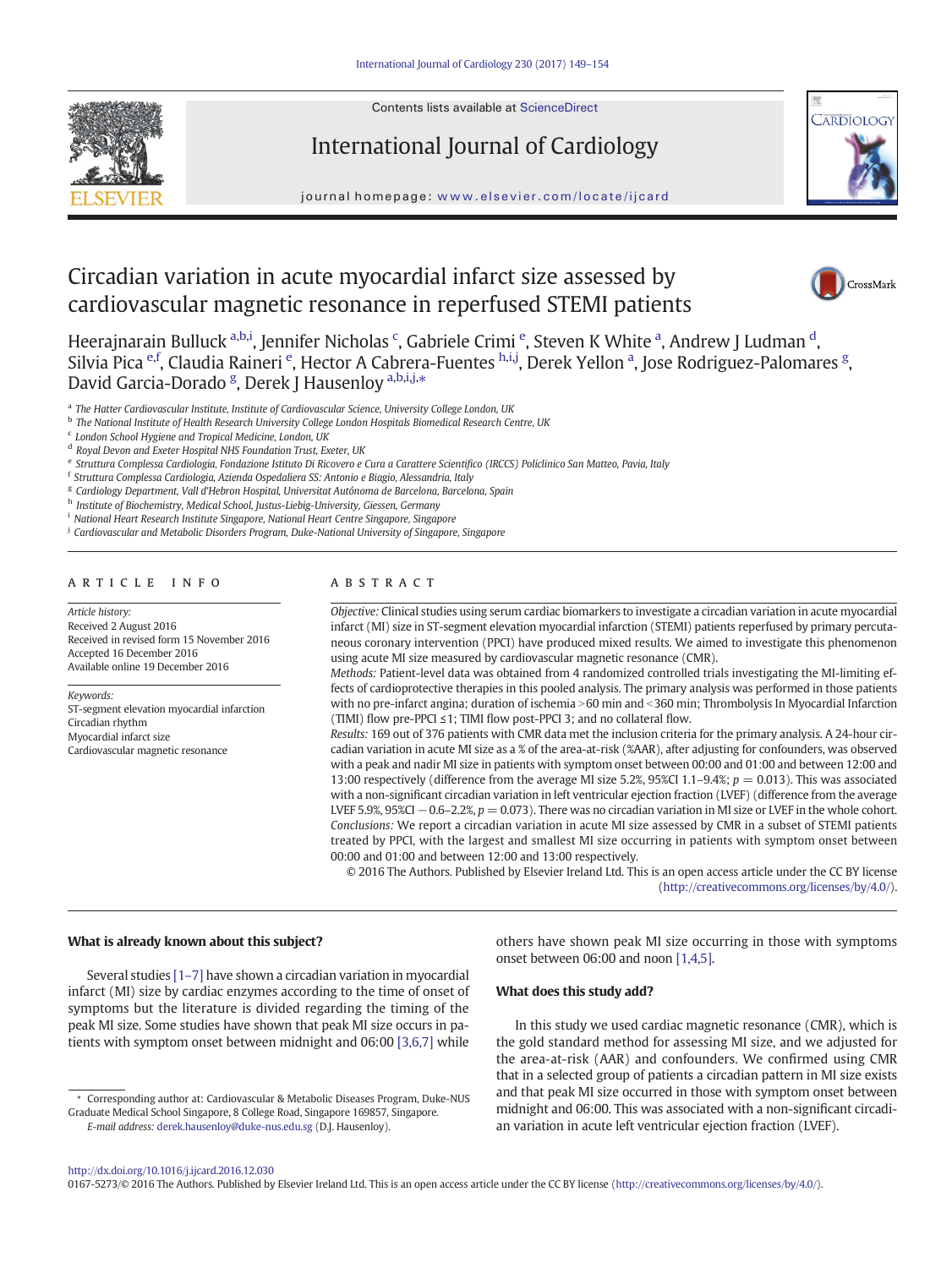

# International Journal of Cardiology



journal homepage: <www.elsevier.com/locate/ijcard>

# Circadian variation in acute myocardial infarct size assessed by cardiovascular magnetic resonance in reperfused STEMI patients



Heerajnarain Bulluck <sup>a,b,i</sup>, Jennifer Nicholas <sup>c</sup>, Gabriele Crimi <sup>e</sup>, Steven K White <sup>a</sup>, Andrew J Ludman <sup>d</sup>, Silvia Pica <sup>e,f</sup>, Claudia Raineri <sup>e</sup>, Hector A Cabrera-Fuentes <sup>h,i,j</sup>, Derek Yellon <sup>a</sup>, Jose Rodriguez-Palomares <sup>g</sup>, David Garcia-Dorado <sup>g</sup>, Derek J Hausenloy <sup>a,b,i,j,</sup>\*

a The Hatter Cardiovascular Institute, Institute of Cardiovascular Science, University College London, UK

<sup>b</sup> The National Institute of Health Research University College London Hospitals Biomedical Research Centre, UK

 $c$  London School Hygiene and Tropical Medicine, London, UK

<sup>d</sup> Royal Devon and Exeter Hospital NHS Foundation Trust, Exeter, UK

<sup>f</sup> Struttura Complessa Cardiologia, Azienda Ospedaliera SS: Antonio e Biagio, Alessandria, Italy

<sup>g</sup> Cardiology Department, Vall d'Hebron Hospital, Universitat Autónoma de Barcelona, Barcelona, Spain

h Institute of Biochemistry, Medical School, Justus-Liebig-University, Giessen, Germany

<sup>i</sup> National Heart Research Institute Singapore, National Heart Centre Singapore, Singapore

<sup>j</sup> Cardiovascular and Metabolic Disorders Program, Duke-National University of Singapore, Singapore

## article info abstract

Article history: Received 2 August 2016 Received in revised form 15 November 2016 Accepted 16 December 2016 Available online 19 December 2016

Keywords: ST-segment elevation myocardial infarction Circadian rhythm Myocardial infarct size Cardiovascular magnetic resonance

Objective: Clinical studies using serum cardiac biomarkers to investigate a circadian variation in acute myocardial infarct (MI) size in ST-segment elevation myocardial infarction (STEMI) patients reperfused by primary percutaneous coronary intervention (PPCI) have produced mixed results. We aimed to investigate this phenomenon using acute MI size measured by cardiovascular magnetic resonance (CMR).

Methods: Patient-level data was obtained from 4 randomized controlled trials investigating the MI-limiting effects of cardioprotective therapies in this pooled analysis. The primary analysis was performed in those patients with no pre-infarct angina; duration of ischemia > 60 min and < 360 min; Thrombolysis In Myocardial Infarction (TIMI) flow pre-PPCI ≤1; TIMI flow post-PPCI 3; and no collateral flow.

Results: 169 out of 376 patients with CMR data met the inclusion criteria for the primary analysis. A 24-hour circadian variation in acute MI size as a % of the area-at-risk (%AAR), after adjusting for confounders, was observed with a peak and nadir MI size in patients with symptom onset between 00:00 and 01:00 and between 12:00 and 13:00 respectively (difference from the average MI size 5.2%, 95%CI 1.1–9.4%;  $p = 0.013$ ). This was associated with a non-significant circadian variation in left ventricular ejection fraction (LVEF) (difference from the average LVEF 5.9%, 95%CI  $-0.6$ –2.2%,  $p = 0.073$ ). There was no circadian variation in MI size or LVEF in the whole cohort. Conclusions: We report a circadian variation in acute MI size assessed by CMR in a subset of STEMI patients treated by PPCI, with the largest and smallest MI size occurring in patients with symptom onset between 00:00 and 01:00 and between 12:00 and 13:00 respectively.

© 2016 The Authors. Published by Elsevier Ireland Ltd. This is an open access article under the CC BY license [\(http://creativecommons.org/licenses/by/4.0/\)](http://creativecommons.org/licenses/by/4.0/).

# What is already known about this subject?

Several studies [\[1](#page-5-0)–7] have shown a circadian variation in myocardial infarct (MI) size by cardiac enzymes according to the time of onset of symptoms but the literature is divided regarding the timing of the peak MI size. Some studies have shown that peak MI size occurs in patients with symptom onset between midnight and 06:00 [\[3,6,7\]](#page-5-0) while

⁎ Corresponding author at: Cardiovascular & Metabolic Diseases Program, Duke-NUS Graduate Medical School Singapore, 8 College Road, Singapore 169857, Singapore. E-mail address: [derek.hausenloy@duke-nus.edu.sg](mailto:derek.hausenloy@duke-nus.edu.sg) (D.J. Hausenloy).

others have shown peak MI size occurring in those with symptoms onset between 06:00 and noon [\[1,4,5\]](#page-5-0).

## What does this study add?

In this study we used cardiac magnetic resonance (CMR), which is the gold standard method for assessing MI size, and we adjusted for the area-at-risk (AAR) and confounders. We confirmed using CMR that in a selected group of patients a circadian pattern in MI size exists and that peak MI size occurred in those with symptom onset between midnight and 06:00. This was associated with a non-significant circadian variation in acute left ventricular ejection fraction (LVEF).

<http://dx.doi.org/10.1016/j.ijcard.2016.12.030>

0167-5273/© 2016 The Authors. Published by Elsevier Ireland Ltd. This is an open access article under the CC BY license [\(http://creativecommons.org/licenses/by/4.0/\)](http://creativecommons.org/licenses/by/4.0/).

e Struttura Complessa Cardiologia, Fondazione Istituto Di Ricovero e Cura a Carattere Scientifico (IRCCS) Policlinico San Matteo, Pavia, Italy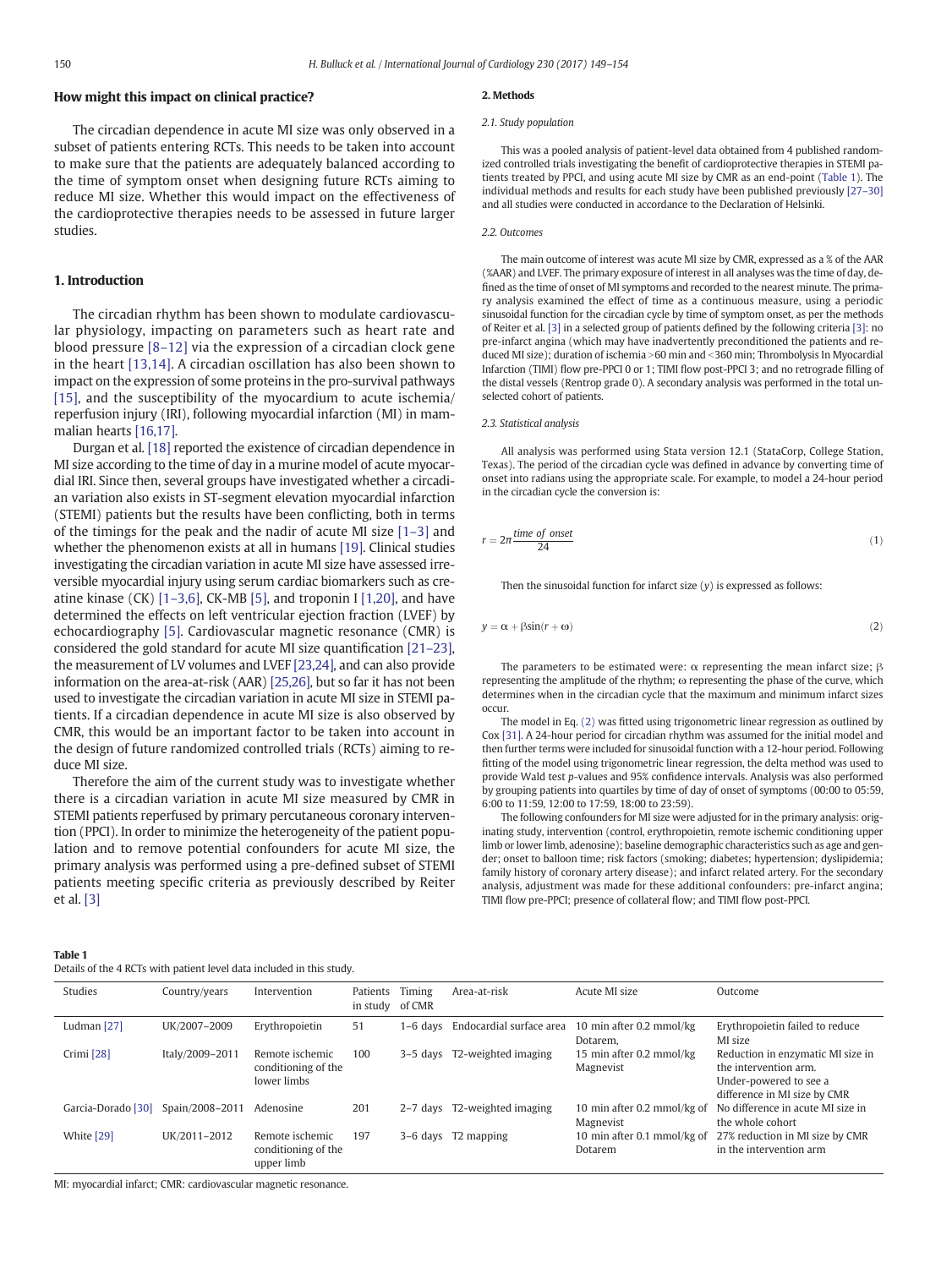# <span id="page-1-0"></span>How might this impact on clinical practice?

The circadian dependence in acute MI size was only observed in a subset of patients entering RCTs. This needs to be taken into account to make sure that the patients are adequately balanced according to the time of symptom onset when designing future RCTs aiming to reduce MI size. Whether this would impact on the effectiveness of the cardioprotective therapies needs to be assessed in future larger studies.

# 1. Introduction

The circadian rhythm has been shown to modulate cardiovascular physiology, impacting on parameters such as heart rate and blood pressure [8–[12\]](#page-5-0) via the expression of a circadian clock gene in the heart [\[13,14\]](#page-5-0). A circadian oscillation has also been shown to impact on the expression of some proteins in the pro-survival pathways [\[15\],](#page-5-0) and the susceptibility of the myocardium to acute ischemia/ reperfusion injury (IRI), following myocardial infarction (MI) in mammalian hearts [\[16,17\]](#page-5-0).

Durgan et al. [\[18\]](#page-5-0) reported the existence of circadian dependence in MI size according to the time of day in a murine model of acute myocardial IRI. Since then, several groups have investigated whether a circadian variation also exists in ST-segment elevation myocardial infarction (STEMI) patients but the results have been conflicting, both in terms of the timings for the peak and the nadir of acute MI size [\[1](#page-5-0)–3] and whether the phenomenon exists at all in humans [\[19\]](#page-5-0). Clinical studies investigating the circadian variation in acute MI size have assessed irreversible myocardial injury using serum cardiac biomarkers such as creatine kinase (CK) [1–[3,6\]](#page-5-0), CK-MB [\[5\]](#page-5-0), and troponin I [\[1,20\]](#page-5-0), and have determined the effects on left ventricular ejection fraction (LVEF) by echocardiography [\[5\].](#page-5-0) Cardiovascular magnetic resonance (CMR) is considered the gold standard for acute MI size quantification [21–[23\],](#page-5-0) the measurement of LV volumes and LVEF [\[23,24\],](#page-5-0) and can also provide information on the area-at-risk (AAR) [\[25,26\]](#page-5-0), but so far it has not been used to investigate the circadian variation in acute MI size in STEMI patients. If a circadian dependence in acute MI size is also observed by CMR, this would be an important factor to be taken into account in the design of future randomized controlled trials (RCTs) aiming to reduce MI size.

Therefore the aim of the current study was to investigate whether there is a circadian variation in acute MI size measured by CMR in STEMI patients reperfused by primary percutaneous coronary intervention (PPCI). In order to minimize the heterogeneity of the patient population and to remove potential confounders for acute MI size, the primary analysis was performed using a pre-defined subset of STEMI patients meeting specific criteria as previously described by Reiter et al. [\[3\]](#page-5-0)

#### 2. Methods

## 2.1. Study population

This was a pooled analysis of patient-level data obtained from 4 published randomized controlled trials investigating the benefit of cardioprotective therapies in STEMI patients treated by PPCI, and using acute MI size by CMR as an end-point (Table 1). The individual methods and results for each study have been published previously [\[27](#page-5-0)–30] and all studies were conducted in accordance to the Declaration of Helsinki.

#### 2.2. Outcomes

The main outcome of interest was acute MI size by CMR, expressed as a % of the AAR (%AAR) and LVEF. The primary exposure of interest in all analyses was the time of day, defined as the time of onset of MI symptoms and recorded to the nearest minute. The primary analysis examined the effect of time as a continuous measure, using a periodic sinusoidal function for the circadian cycle by time of symptom onset, as per the methods of Reiter et al. [\[3\]](#page-5-0) in a selected group of patients defined by the following criteria [\[3\]:](#page-5-0) no pre-infarct angina (which may have inadvertently preconditioned the patients and reduced MI size); duration of ischemia >60 min and <360 min; Thrombolysis In Myocardial Infarction (TIMI) flow pre-PPCI 0 or 1; TIMI flow post-PPCI 3; and no retrograde filling of the distal vessels (Rentrop grade 0). A secondary analysis was performed in the total unselected cohort of patients.

#### 2.3. Statistical analysis

All analysis was performed using Stata version 12.1 (StataCorp, College Station, Texas). The period of the circadian cycle was defined in advance by converting time of onset into radians using the appropriate scale. For example, to model a 24-hour period in the circadian cycle the conversion is:

$$
r = 2\pi \frac{\text{time of onset}}{24} \tag{1}
$$

Then the sinusoidal function for infarct size  $(v)$  is expressed as follows:

$$
y = \alpha + \beta \sin(r + \omega) \tag{2}
$$

The parameters to be estimated were:  $\alpha$  representing the mean infarct size;  $\beta$ representing the amplitude of the rhythm; ω representing the phase of the curve, which determines when in the circadian cycle that the maximum and minimum infarct sizes occur.

The model in Eq. (2) was fitted using trigonometric linear regression as outlined by Cox [\[31\].](#page-5-0) A 24-hour period for circadian rhythm was assumed for the initial model and then further terms were included for sinusoidal function with a 12-hour period. Following fitting of the model using trigonometric linear regression, the delta method was used to provide Wald test p-values and 95% confidence intervals. Analysis was also performed by grouping patients into quartiles by time of day of onset of symptoms (00:00 to 05:59, 6:00 to 11:59, 12:00 to 17:59, 18:00 to 23:59).

The following confounders for MI size were adjusted for in the primary analysis: originating study, intervention (control, erythropoietin, remote ischemic conditioning upper limb or lower limb, adenosine); baseline demographic characteristics such as age and gender; onset to balloon time; risk factors (smoking; diabetes; hypertension; dyslipidemia; family history of coronary artery disease); and infarct related artery. For the secondary analysis, adjustment was made for these additional confounders: pre-infarct angina; TIMI flow pre-PPCI; presence of collateral flow; and TIMI flow post-PPCI.

| . |  |
|---|--|

| Details of the 4 RCTs with patient level data included in this study. |  |  |
|-----------------------------------------------------------------------|--|--|
|                                                                       |  |  |

| Studies            | Country/years   | Intervention                                          | Patients<br>in study of CMR | Timing     | Area-at-risk                      | Acute MI size                            | Outcome                                                                                                              |
|--------------------|-----------------|-------------------------------------------------------|-----------------------------|------------|-----------------------------------|------------------------------------------|----------------------------------------------------------------------------------------------------------------------|
| Ludman [27]        | UK/2007-2009    | Erythropoietin                                        | 51                          |            | 1-6 days Endocardial surface area | 10 min after 0.2 mmol/kg<br>Dotarem.     | Erythropoietin failed to reduce<br>MI size                                                                           |
| Crimi [28]         | Italy/2009-2011 | Remote ischemic<br>conditioning of the<br>lower limbs | 100                         |            | 3-5 days T2-weighted imaging      | 15 min after 0.2 mmol/kg<br>Magnevist    | Reduction in enzymatic MI size in<br>the intervention arm.<br>Under-powered to see a<br>difference in MI size by CMR |
| Garcia-Dorado [30] | Spain/2008-2011 | Adenosine                                             | 201                         | $2-7$ days | T2-weighted imaging               | 10 min after 0.2 mmol/kg of<br>Magnevist | No difference in acute MI size in<br>the whole cohort                                                                |
| White [29]         | UK/2011-2012    | Remote ischemic<br>conditioning of the<br>upper limb  | 197                         |            | 3-6 days T2 mapping               | 10 min after 0.1 mmol/kg of<br>Dotarem   | 27% reduction in MI size by CMR<br>in the intervention arm                                                           |

MI: myocardial infarct; CMR: cardiovascular magnetic resonance.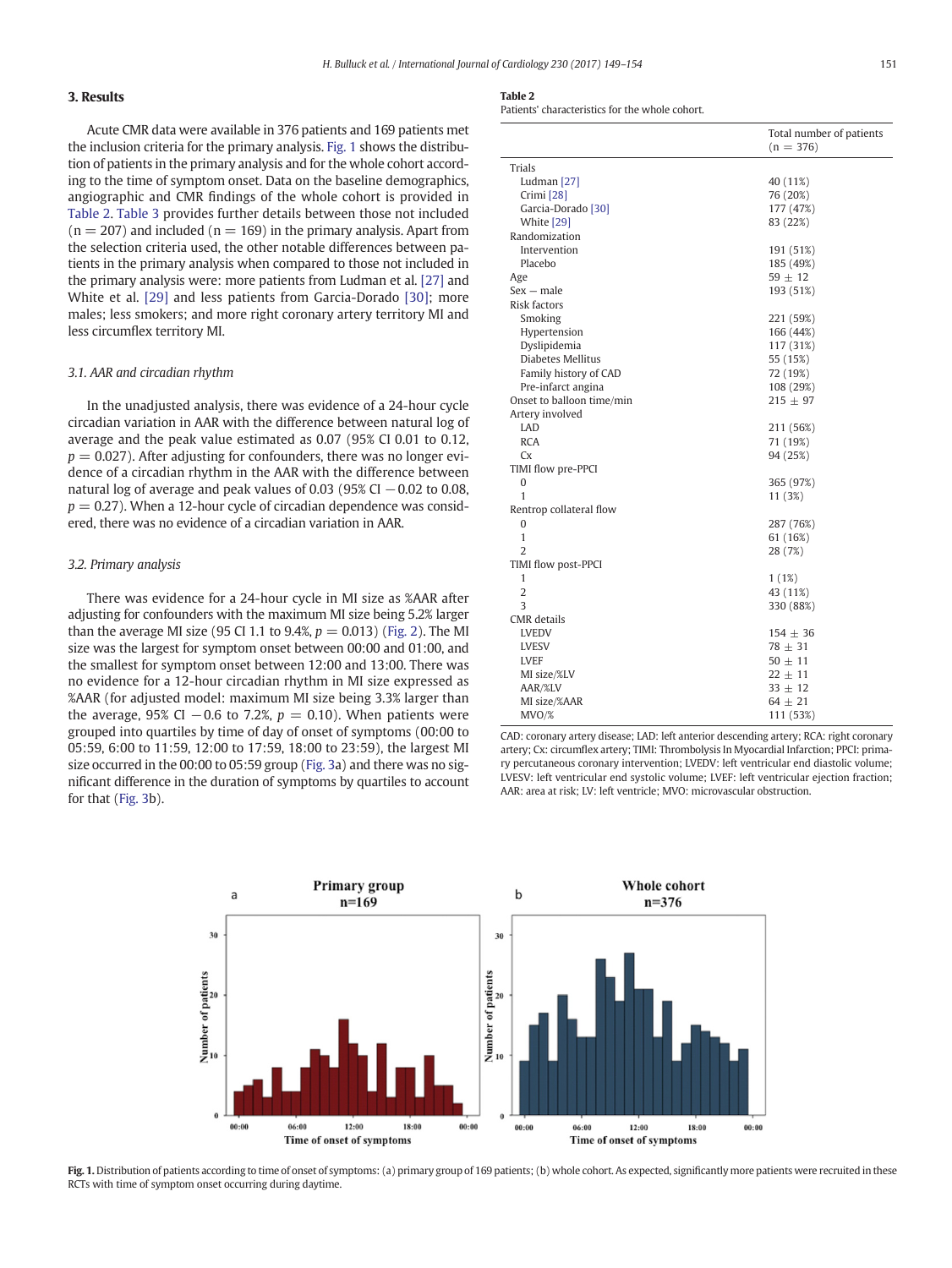# 3. Results

Acute CMR data were available in 376 patients and 169 patients met the inclusion criteria for the primary analysis. Fig. 1 shows the distribution of patients in the primary analysis and for the whole cohort according to the time of symptom onset. Data on the baseline demographics, angiographic and CMR findings of the whole cohort is provided in Table 2. [Table 3](#page-3-0) provides further details between those not included  $(n = 207)$  and included  $(n = 169)$  in the primary analysis. Apart from the selection criteria used, the other notable differences between patients in the primary analysis when compared to those not included in the primary analysis were: more patients from Ludman et al. [\[27\]](#page-5-0) and White et al. [\[29\]](#page-5-0) and less patients from Garcia-Dorado [\[30\]](#page-5-0); more males; less smokers; and more right coronary artery territory MI and less circumflex territory MI.

#### 3.1. AAR and circadian rhythm

In the unadjusted analysis, there was evidence of a 24-hour cycle circadian variation in AAR with the difference between natural log of average and the peak value estimated as 0.07 (95% CI 0.01 to 0.12,  $p = 0.027$ ). After adjusting for confounders, there was no longer evidence of a circadian rhythm in the AAR with the difference between natural log of average and peak values of 0.03 (95% CI  $-0.02$  to 0.08,  $p = 0.27$ ). When a 12-hour cycle of circadian dependence was considered, there was no evidence of a circadian variation in AAR.

# 3.2. Primary analysis

There was evidence for a 24-hour cycle in MI size as %AAR after adjusting for confounders with the maximum MI size being 5.2% larger than the average MI size (95 CI 1.1 to 9.4%,  $p = 0.013$ ) ([Fig. 2](#page-3-0)). The MI size was the largest for symptom onset between 00:00 and 01:00, and the smallest for symptom onset between 12:00 and 13:00. There was no evidence for a 12-hour circadian rhythm in MI size expressed as %AAR (for adjusted model: maximum MI size being 3.3% larger than the average, 95% CI  $-0.6$  to 7.2%,  $p = 0.10$ ). When patients were grouped into quartiles by time of day of onset of symptoms (00:00 to 05:59, 6:00 to 11:59, 12:00 to 17:59, 18:00 to 23:59), the largest MI size occurred in the 00:00 to 05:59 group ([Fig. 3a](#page-3-0)) and there was no significant difference in the duration of symptoms by quartiles to account for that [\(Fig. 3](#page-3-0)b).

|--|--|

Patients' characteristics for the whole cohort.

|                               | Total number of patients<br>$(n = 376)$ |
|-------------------------------|-----------------------------------------|
| Trials                        |                                         |
| Ludman [27]                   | 40 (11%)                                |
| Crimi [28]                    | 76 (20%)                                |
| Garcia-Dorado <sup>[30]</sup> | 177 (47%)                               |
| White [29]                    | 83 (22%)                                |
| Randomization                 |                                         |
| Intervention                  | 191 (51%)                               |
| Placebo                       | 185 (49%)                               |
| Age                           | $59 \pm 12$                             |
| $Sex - male$                  | 193 (51%)                               |
| Risk factors                  |                                         |
| Smoking                       | 221 (59%)                               |
| Hypertension                  |                                         |
|                               | 166 (44%)                               |
| Dyslipidemia                  | 117 (31%)                               |
| Diabetes Mellitus             | 55 (15%)                                |
| Family history of CAD         | 72 (19%)                                |
| Pre-infarct angina            | 108 (29%)                               |
| Onset to balloon time/min     | $215 \pm 97$                            |
| Artery involved               |                                         |
| LAD                           | 211 (56%)                               |
| <b>RCA</b>                    | 71 (19%)                                |
| Сx                            | 94 (25%)                                |
| TIMI flow pre-PPCI            |                                         |
| 0                             | 365 (97%)                               |
| 1                             | 11 (3%)                                 |
| Rentrop collateral flow       |                                         |
| 0                             | 287 (76%)                               |
| 1                             | 61 (16%)                                |
| $\overline{2}$                | 28 (7%)                                 |
| TIMI flow post-PPCI           |                                         |
| 1                             | 1(1%)                                   |
| $\overline{2}$                | 43 (11%)                                |
| 3                             | 330 (88%)                               |
| <b>CMR</b> details            |                                         |
| LVEDV                         | $154 \pm 36$                            |
| LVESV                         | $78 \pm 31$                             |
| LVEF                          | $50 \pm 11$                             |
| MI size/%LV                   | $22 \pm 11$                             |
| AAR/%LV                       | $33 \pm 12$                             |
| MI size/%AAR                  | $64 \pm 21$                             |
| MVO%                          | 111 (53%)                               |

CAD: coronary artery disease; LAD: left anterior descending artery; RCA: right coronary artery; Cx: circumflex artery; TIMI: Thrombolysis In Myocardial Infarction; PPCI: primary percutaneous coronary intervention; LVEDV: left ventricular end diastolic volume; LVESV: left ventricular end systolic volume; LVEF: left ventricular ejection fraction; AAR: area at risk; LV: left ventricle; MVO: microvascular obstruction.



Fig. 1. Distribution of patients according to time of onset of symptoms: (a) primary group of 169 patients; (b) whole cohort. As expected, significantly more patients were recruited in these RCTs with time of symptom onset occurring during daytime.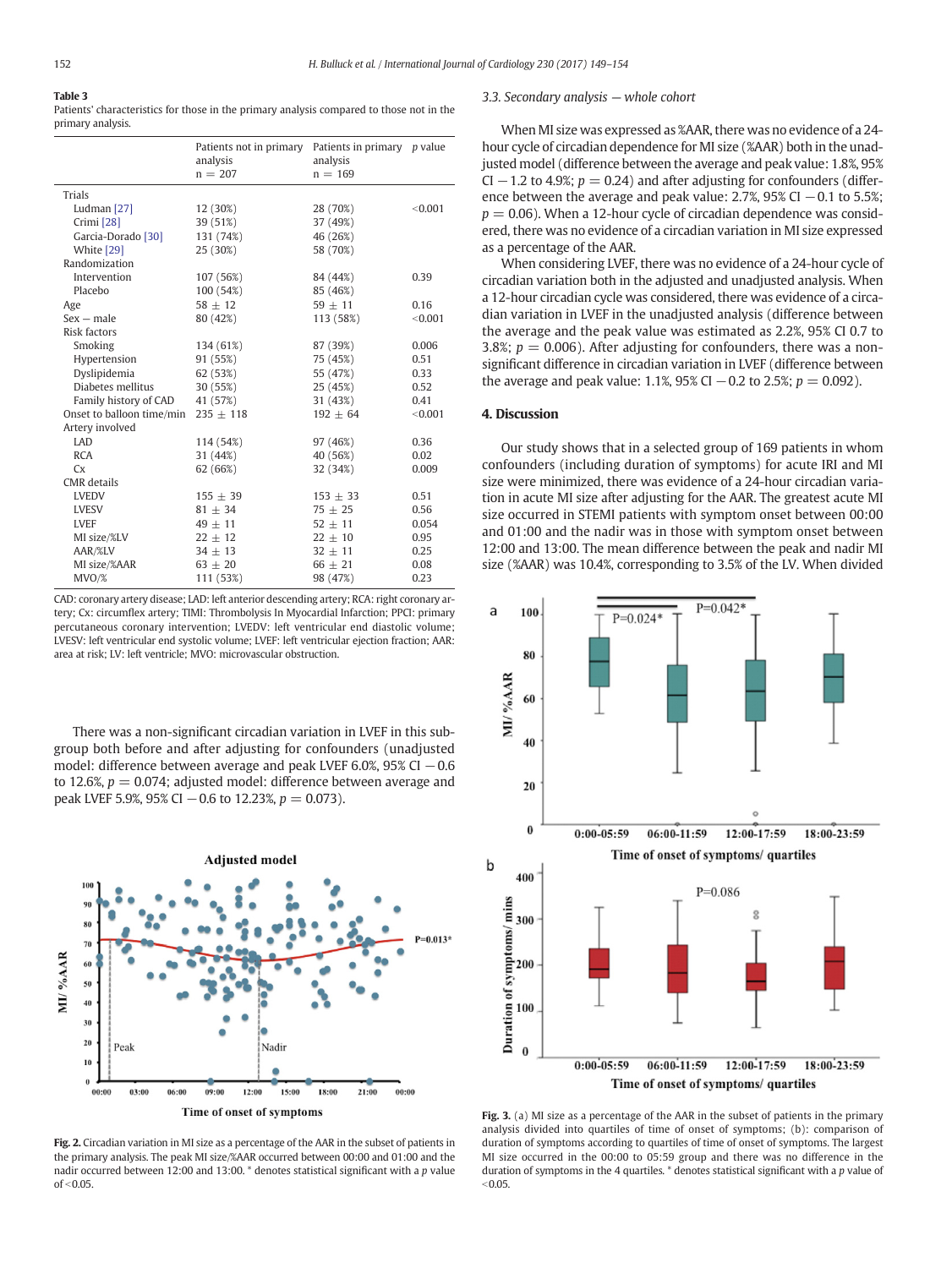#### <span id="page-3-0"></span>Table 3 Patients' characteristics for those in the primary analysis compared to those not in the primary analysis.

|                               | Patients not in primary<br>analysis<br>$n = 207$ | Patients in primary p value<br>analysis<br>$n = 169$ |         |
|-------------------------------|--------------------------------------------------|------------------------------------------------------|---------|
| Trials                        |                                                  |                                                      |         |
| Ludman [27]                   | 12 (30%)                                         | 28 (70%)                                             | < 0.001 |
| Crimi [28]                    | 39 (51%)                                         | 37 (49%)                                             |         |
| Garcia-Dorado <sup>[30]</sup> | 131 (74%)                                        | 46 (26%)                                             |         |
| White [29]                    | 25 (30%)                                         | 58 (70%)                                             |         |
| Randomization                 |                                                  |                                                      |         |
| Intervention                  | 107 (56%)                                        | 84 (44%)                                             | 0.39    |
| Placebo                       | 100 (54%)                                        | 85 (46%)                                             |         |
| Age                           | $58 + 12$                                        | $59 + 11$                                            | 0.16    |
| $Sex$ – male                  | 80 (42%)                                         | 113 (58%)                                            | < 0.001 |
| <b>Risk factors</b>           |                                                  |                                                      |         |
| Smoking                       | 134 (61%)                                        | 87 (39%)                                             | 0.006   |
| Hypertension                  | 91 (55%)                                         | 75 (45%)                                             | 0.51    |
| Dyslipidemia                  | 62 (53%)                                         | 55 (47%)                                             | 0.33    |
| Diabetes mellitus             | 30 (55%)                                         | 25 (45%)                                             | 0.52    |
| Family history of CAD         | 41 (57%)                                         | 31 (43%)                                             | 0.41    |
| Onset to balloon time/min     | $235 \pm 118$                                    | $192 \pm 64$                                         | < 0.001 |
| Artery involved               |                                                  |                                                      |         |
| <b>LAD</b>                    | 114 (54%)                                        | 97 (46%)                                             | 0.36    |
| <b>RCA</b>                    | 31 (44%)                                         | 40 (56%)                                             | 0.02    |
| <b>Cx</b>                     | 62 (66%)                                         | 32 (34%)                                             | 0.009   |
| CMR details                   |                                                  |                                                      |         |
| <b>LVEDV</b>                  | $155 + 39$                                       | $153 \pm 33$                                         | 0.51    |
| <b>LVESV</b>                  | $81 \pm 34$                                      | $75 \pm 25$                                          | 0.56    |
| <b>LVEF</b>                   | $49 \pm 11$                                      | $52 \pm 11$                                          | 0.054   |
| MI size/%LV                   | $22 + 12$                                        | $22 + 10$                                            | 0.95    |
| AAR/%LV                       | $34 \pm 13$                                      | $32 \pm 11$                                          | 0.25    |
| MI size/%AAR                  | $63 \pm 20$                                      | $66 \pm 21$                                          | 0.08    |
| MVO%                          | 111 (53%)                                        | 98 (47%)                                             | 0.23    |

CAD: coronary artery disease; LAD: left anterior descending artery; RCA: right coronary artery; Cx: circumflex artery; TIMI: Thrombolysis In Myocardial Infarction; PPCI: primary percutaneous coronary intervention; LVEDV: left ventricular end diastolic volume; LVESV: left ventricular end systolic volume; LVEF: left ventricular ejection fraction; AAR: area at risk; LV: left ventricle; MVO: microvascular obstruction.

There was a non-significant circadian variation in LVEF in this subgroup both before and after adjusting for confounders (unadjusted model: difference between average and peak LVEF 6.0%, 95% CI  $-0.6$ to 12.6%,  $p = 0.074$ ; adjusted model: difference between average and peak LVEF 5.9%, 95% CI  $-0.6$  to 12.23%,  $p = 0.073$ ).



Fig. 2. Circadian variation in MI size as a percentage of the AAR in the subset of patients in the primary analysis. The peak MI size/%AAR occurred between 00:00 and 01:00 and the nadir occurred between 12:00 and 13:00. \* denotes statistical significant with a p value  $of < 0.05$ 

## 3.3. Secondary analysis — whole cohort

When MI size was expressed as %AAR, there was no evidence of a 24 hour cycle of circadian dependence for MI size (%AAR) both in the unadjusted model (difference between the average and peak value: 1.8%, 95% CI  $-1.2$  to 4.9%;  $p = 0.24$ ) and after adjusting for confounders (difference between the average and peak value:  $2.7\%$ ,  $95\%$  CI  $-0.1$  to  $5.5\%$ ;  $p = 0.06$ ). When a 12-hour cycle of circadian dependence was considered, there was no evidence of a circadian variation in MI size expressed as a percentage of the AAR.

When considering LVEF, there was no evidence of a 24-hour cycle of circadian variation both in the adjusted and unadjusted analysis. When a 12-hour circadian cycle was considered, there was evidence of a circadian variation in LVEF in the unadjusted analysis (difference between the average and the peak value was estimated as 2.2%, 95% CI 0.7 to 3.8%;  $p = 0.006$ ). After adjusting for confounders, there was a nonsignificant difference in circadian variation in LVEF (difference between the average and peak value: 1.1%, 95% CI  $-0.2$  to 2.5%;  $p = 0.092$ ).

# 4. Discussion

Our study shows that in a selected group of 169 patients in whom confounders (including duration of symptoms) for acute IRI and MI size were minimized, there was evidence of a 24-hour circadian variation in acute MI size after adjusting for the AAR. The greatest acute MI size occurred in STEMI patients with symptom onset between 00:00 and 01:00 and the nadir was in those with symptom onset between 12:00 and 13:00. The mean difference between the peak and nadir MI size (%AAR) was 10.4%, corresponding to 3.5% of the LV. When divided



Fig. 3. (a) MI size as a percentage of the AAR in the subset of patients in the primary analysis divided into quartiles of time of onset of symptoms; (b): comparison of duration of symptoms according to quartiles of time of onset of symptoms. The largest MI size occurred in the 00:00 to 05:59 group and there was no difference in the duration of symptoms in the 4 quartiles. \* denotes statistical significant with a p value of  $< 0.05$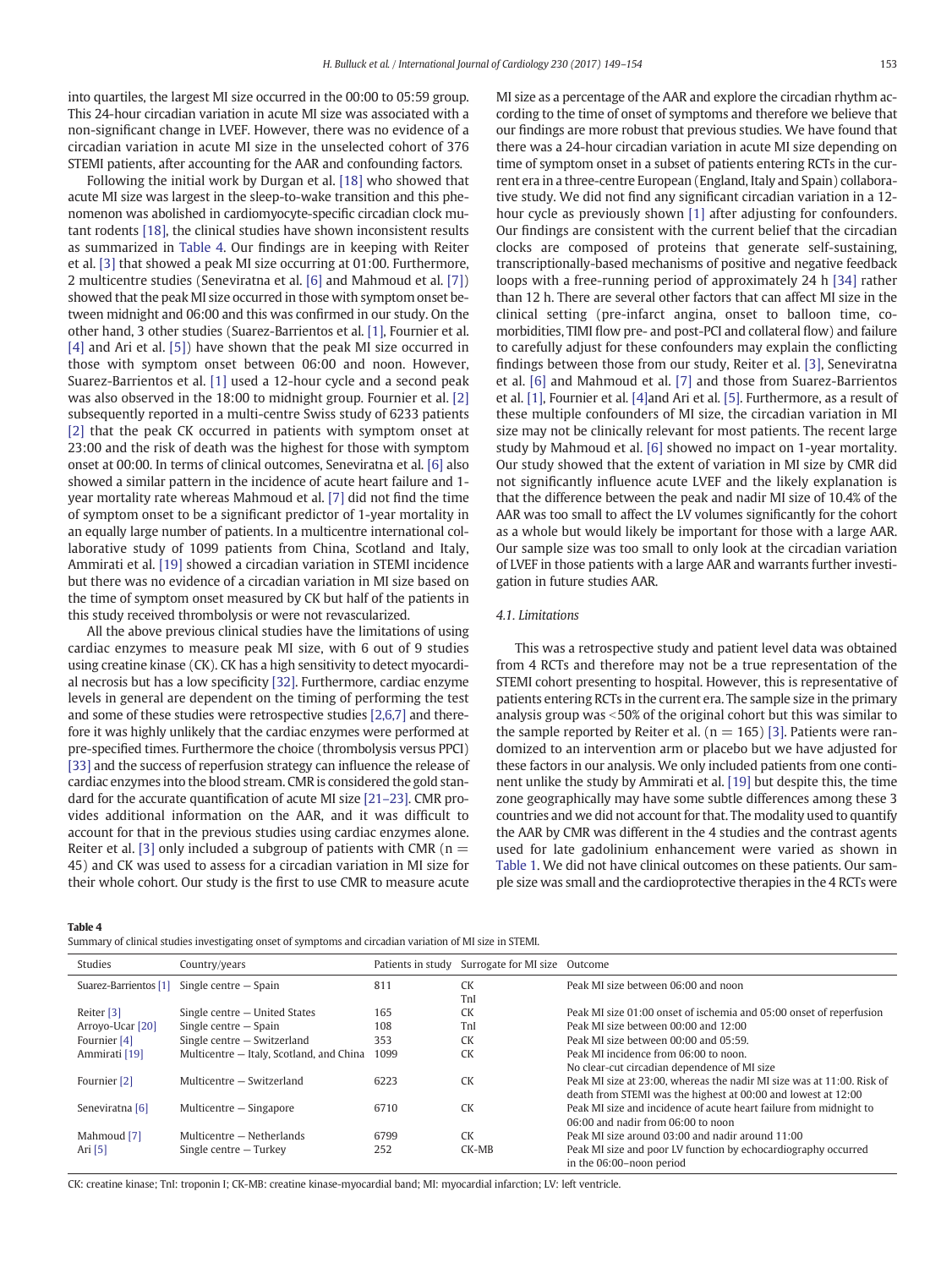into quartiles, the largest MI size occurred in the 00:00 to 05:59 group. This 24-hour circadian variation in acute MI size was associated with a non-significant change in LVEF. However, there was no evidence of a circadian variation in acute MI size in the unselected cohort of 376 STEMI patients, after accounting for the AAR and confounding factors.

Following the initial work by Durgan et al. [\[18\]](#page-5-0) who showed that acute MI size was largest in the sleep-to-wake transition and this phenomenon was abolished in cardiomyocyte-specific circadian clock mutant rodents [\[18\],](#page-5-0) the clinical studies have shown inconsistent results as summarized in Table 4. Our findings are in keeping with Reiter et al. [\[3\]](#page-5-0) that showed a peak MI size occurring at 01:00. Furthermore, 2 multicentre studies (Seneviratna et al. [\[6\]](#page-5-0) and Mahmoud et al. [\[7\]](#page-5-0)) showed that the peak MI size occurred in those with symptom onset between midnight and 06:00 and this was confirmed in our study. On the other hand, 3 other studies (Suarez-Barrientos et al. [\[1\],](#page-5-0) Fournier et al. [\[4\]](#page-5-0) and Ari et al. [\[5\]](#page-5-0)) have shown that the peak MI size occurred in those with symptom onset between 06:00 and noon. However, Suarez-Barrientos et al. [\[1\]](#page-5-0) used a 12-hour cycle and a second peak was also observed in the 18:00 to midnight group. Fournier et al. [\[2\]](#page-5-0) subsequently reported in a multi-centre Swiss study of 6233 patients [\[2\]](#page-5-0) that the peak CK occurred in patients with symptom onset at 23:00 and the risk of death was the highest for those with symptom onset at 00:00. In terms of clinical outcomes, Seneviratna et al. [\[6\]](#page-5-0) also showed a similar pattern in the incidence of acute heart failure and 1 year mortality rate whereas Mahmoud et al. [\[7\]](#page-5-0) did not find the time of symptom onset to be a significant predictor of 1-year mortality in an equally large number of patients. In a multicentre international collaborative study of 1099 patients from China, Scotland and Italy, Ammirati et al. [\[19\]](#page-5-0) showed a circadian variation in STEMI incidence but there was no evidence of a circadian variation in MI size based on the time of symptom onset measured by CK but half of the patients in this study received thrombolysis or were not revascularized.

All the above previous clinical studies have the limitations of using cardiac enzymes to measure peak MI size, with 6 out of 9 studies using creatine kinase (CK). CK has a high sensitivity to detect myocardial necrosis but has a low specificity [\[32\].](#page-5-0) Furthermore, cardiac enzyme levels in general are dependent on the timing of performing the test and some of these studies were retrospective studies [\[2,6,7\]](#page-5-0) and therefore it was highly unlikely that the cardiac enzymes were performed at pre-specified times. Furthermore the choice (thrombolysis versus PPCI) [\[33\]](#page-5-0) and the success of reperfusion strategy can influence the release of cardiac enzymes into the blood stream. CMR is considered the gold standard for the accurate quantification of acute MI size [\[21](#page-5-0)–23]. CMR provides additional information on the AAR, and it was difficult to account for that in the previous studies using cardiac enzymes alone. Reiter et al. [\[3\]](#page-5-0) only included a subgroup of patients with CMR ( $n =$ 45) and CK was used to assess for a circadian variation in MI size for their whole cohort. Our study is the first to use CMR to measure acute MI size as a percentage of the AAR and explore the circadian rhythm according to the time of onset of symptoms and therefore we believe that our findings are more robust that previous studies. We have found that there was a 24-hour circadian variation in acute MI size depending on time of symptom onset in a subset of patients entering RCTs in the current era in a three-centre European (England, Italy and Spain) collaborative study. We did not find any significant circadian variation in a 12 hour cycle as previously shown [\[1\]](#page-5-0) after adjusting for confounders. Our findings are consistent with the current belief that the circadian clocks are composed of proteins that generate self-sustaining, transcriptionally-based mechanisms of positive and negative feedback loops with a free-running period of approximately 24 h [\[34\]](#page-5-0) rather than 12 h. There are several other factors that can affect MI size in the clinical setting (pre-infarct angina, onset to balloon time, comorbidities, TIMI flow pre- and post-PCI and collateral flow) and failure to carefully adjust for these confounders may explain the conflicting findings between those from our study, Reiter et al. [\[3\],](#page-5-0) Seneviratna et al. [\[6\]](#page-5-0) and Mahmoud et al. [\[7\]](#page-5-0) and those from Suarez-Barrientos et al. [\[1\],](#page-5-0) Fournier et al. [\[4\]](#page-5-0)and Ari et al. [\[5\]](#page-5-0). Furthermore, as a result of these multiple confounders of MI size, the circadian variation in MI size may not be clinically relevant for most patients. The recent large study by Mahmoud et al. [\[6\]](#page-5-0) showed no impact on 1-year mortality. Our study showed that the extent of variation in MI size by CMR did not significantly influence acute LVEF and the likely explanation is that the difference between the peak and nadir MI size of 10.4% of the AAR was too small to affect the LV volumes significantly for the cohort as a whole but would likely be important for those with a large AAR. Our sample size was too small to only look at the circadian variation of LVEF in those patients with a large AAR and warrants further investigation in future studies AAR.

#### 4.1. Limitations

This was a retrospective study and patient level data was obtained from 4 RCTs and therefore may not be a true representation of the STEMI cohort presenting to hospital. However, this is representative of patients entering RCTs in the current era. The sample size in the primary analysis group was  $<$  50% of the original cohort but this was similar to the sample reported by Reiter et al. ( $n = 165$ ) [\[3\].](#page-5-0) Patients were randomized to an intervention arm or placebo but we have adjusted for these factors in our analysis. We only included patients from one continent unlike the study by Ammirati et al. [\[19\]](#page-5-0) but despite this, the time zone geographically may have some subtle differences among these 3 countries and we did not account for that. The modality used to quantify the AAR by CMR was different in the 4 studies and the contrast agents used for late gadolinium enhancement were varied as shown in [Table 1](#page-1-0). We did not have clinical outcomes on these patients. Our sample size was small and the cardioprotective therapies in the 4 RCTs were

Table 4

Summary of clinical studies investigating onset of symptoms and circadian variation of MI size in STEMI.

| Studies               | Country/years                            |      | Patients in study Surrogate for MI size Outcome |                                                                        |
|-----------------------|------------------------------------------|------|-------------------------------------------------|------------------------------------------------------------------------|
| Suarez-Barrientos [1] | Single centre – Spain                    | 811  | CK                                              | Peak MI size between 06:00 and noon                                    |
|                       |                                          |      | TnI                                             |                                                                        |
| Reiter [3]            | Single centre - United States            | 165  | <b>CK</b>                                       | Peak MI size 01:00 onset of ischemia and 05:00 onset of reperfusion    |
| Arroyo-Ucar [20]      | Single centre $-$ Spain                  | 108  | TnI                                             | Peak MI size between 00:00 and 12:00                                   |
| Fournier [4]          | Single centre - Switzerland              | 353  | <b>CK</b>                                       | Peak MI size between 00:00 and 05:59.                                  |
| Ammirati [19]         | Multicentre - Italy, Scotland, and China | 1099 | <b>CK</b>                                       | Peak MI incidence from 06:00 to noon.                                  |
|                       |                                          |      |                                                 | No clear-cut circadian dependence of MI size                           |
| Fournier [2]          | Multicentre - Switzerland                | 6223 | <b>CK</b>                                       | Peak MI size at 23:00, whereas the nadir MI size was at 11:00. Risk of |
|                       |                                          |      |                                                 | death from STEMI was the highest at 00:00 and lowest at 12:00          |
| Seneviratna [6]       | Multicentre - Singapore                  | 6710 | <b>CK</b>                                       | Peak MI size and incidence of acute heart failure from midnight to     |
|                       |                                          |      |                                                 | $06:00$ and nadir from $06:00$ to noon                                 |
| Mahmoud [7]           | Multicentre - Netherlands                | 6799 | <b>CK</b>                                       | Peak MI size around 03:00 and nadir around 11:00                       |
| Ari $[5]$             | Single centre $-$ Turkey                 | 252  | CK-MB                                           | Peak MI size and poor LV function by echocardiography occurred         |
|                       |                                          |      |                                                 | in the 06:00-noon period                                               |

CK: creatine kinase; TnI: troponin I; CK-MB: creatine kinase-myocardial band; MI: myocardial infarction; LV: left ventricle.